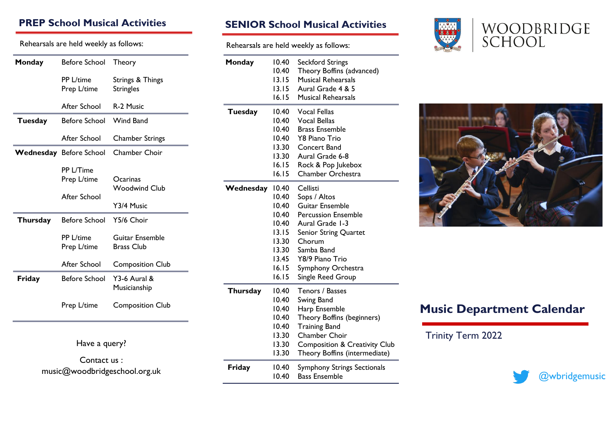#### **PREP School Musical Activities**

Rehearsals are held weekly as follows:

| Monday          | Before School                  | Theory                               |
|-----------------|--------------------------------|--------------------------------------|
|                 | PP L/time<br>Prep L/time       | Strings & Things<br><b>Stringles</b> |
|                 | After School                   | R-2 Music                            |
| <b>Tuesday</b>  | Before School                  | Wind Band                            |
|                 | After School                   | <b>Chamber Strings</b>               |
|                 | <b>Wednesday</b> Before School | <b>Chamber Choir</b>                 |
|                 | PP L/Time<br>Prep L/time       | Ocarinas<br><b>Woodwind Club</b>     |
|                 | After School                   | Y3/4 Music                           |
| <b>Thursday</b> | <b>Before School</b>           | Y5/6 Choir                           |
|                 | PP L/time<br>Prep L/time       | Guitar Ensemble<br><b>Brass Club</b> |
|                 | After School                   | <b>Composition Club</b>              |
| Friday          | <b>Before School</b>           | Y3-6 Aural &<br>Musicianship         |
|                 | Prep L/time                    | <b>Composition Club</b>              |
|                 | Have a query?                  |                                      |

Contact us : music@woodbridgeschool.org.uk

#### **SENIOR School Musical Activities**

Rehearsals are held weekly as follows:

| Monday          | 10.40<br>10.40<br>13.15<br>13.15<br>16.15                                              | <b>Seckford Strings</b><br>Theory Boffins (advanced)<br>Musical Rehearsals<br>Aural Grade 4 & 5<br><b>Musical Rehearsals</b>                                                                                |
|-----------------|----------------------------------------------------------------------------------------|-------------------------------------------------------------------------------------------------------------------------------------------------------------------------------------------------------------|
| <b>Tuesday</b>  | 10.40<br>10.40<br>10.40<br>10.40<br>13.30<br>13.30<br>16.15<br>16.15                   | <b>Vocal Fellas</b><br><b>Vocal Bellas</b><br><b>Brass Ensemble</b><br><b>Y8 Piano Trio</b><br><b>Concert Band</b><br>Aural Grade 6-8<br>Rock & Pop Jukebox<br>Chamber Orchestra                            |
| Wednesday 10.40 | 10.40<br>10.40<br>10.40<br>10.40<br>13.15<br>13.30<br>13.30<br>13.45<br>16.15<br>16.15 | Cellisti<br>Sops / Altos<br>Guitar Ensemble<br><b>Percussion Ensemble</b><br>Aural Grade 1-3<br>Senior String Quartet<br>Chorum<br>Samba Band<br>Y8/9 Piano Trio<br>Symphony Orchestra<br>Single Reed Group |
| <b>Thursday</b> | 10.40<br>10.40<br>10.40<br>10.40<br>10.40<br>13.30<br>13.30<br>13.30                   | Tenors / Basses<br>Swing Band<br>Harp Ensemble<br>Theory Boffins (beginners)<br><b>Training Band</b><br>Chamber Choir<br><b>Composition &amp; Creativity Club</b><br>Theory Boffins (intermediate)          |
| Friday          | 10.40<br>10.40                                                                         | <b>Symphony Strings Sectionals</b><br><b>Bass Ensemble</b>                                                                                                                                                  |



# WOODBRIDGE<br>SCHOOL



## **Music Department Calendar**

Trinity Term 2022